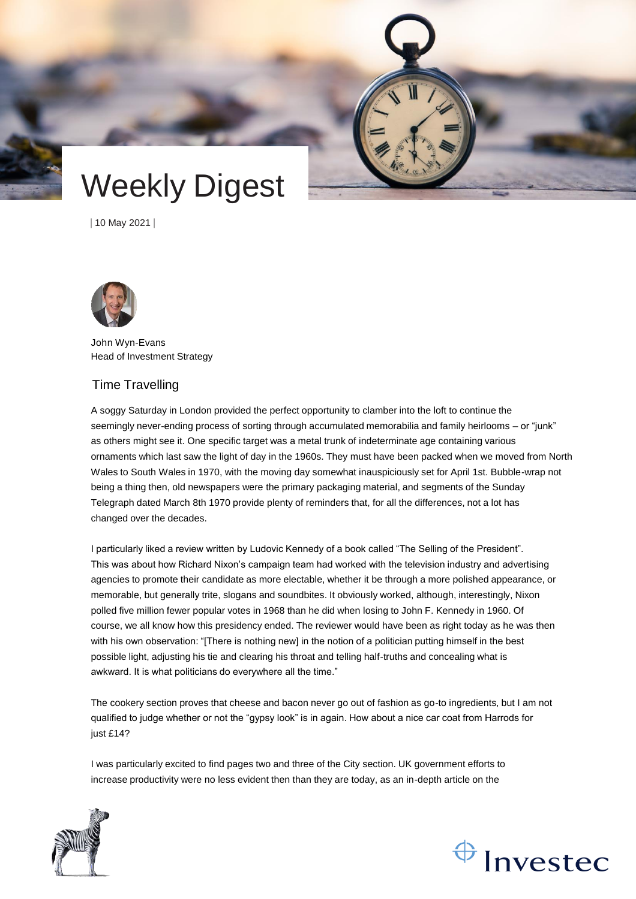

# Weekly Digest

| 10 May 2021 |



John Wyn-Evans Head of Investment Strategy

## Time Travelling

A soggy Saturday in London provided the perfect opportunity to clamber into the loft to continue the seemingly never-ending process of sorting through accumulated memorabilia and family heirlooms – or "junk" as others might see it. One specific target was a metal trunk of indeterminate age containing various ornaments which last saw the light of day in the 1960s. They must have been packed when we moved from North Wales to South Wales in 1970, with the moving day somewhat inauspiciously set for April 1st. Bubble-wrap not being a thing then, old newspapers were the primary packaging material, and segments of the Sunday Telegraph dated March 8th 1970 provide plenty of reminders that, for all the differences, not a lot has changed over the decades.

I particularly liked a review written by Ludovic Kennedy of a book called "The Selling of the President". This was about how Richard Nixon's campaign team had worked with the television industry and advertising agencies to promote their candidate as more electable, whether it be through a more polished appearance, or memorable, but generally trite, slogans and soundbites. It obviously worked, although, interestingly, Nixon polled five million fewer popular votes in 1968 than he did when losing to John F. Kennedy in 1960. Of course, we all know how this presidency ended. The reviewer would have been as right today as he was then with his own observation: "[There is nothing new] in the notion of a politician putting himself in the best possible light, adjusting his tie and clearing his throat and telling half-truths and concealing what is awkward. It is what politicians do everywhere all the time."

The cookery section proves that cheese and bacon never go out of fashion as go-to ingredients, but I am not qualified to judge whether or not the "gypsy look" is in again. How about a nice car coat from Harrods for just £14?

I was particularly excited to find pages two and three of the City section. UK government efforts to increase productivity were no less evident then than they are today, as an in-depth article on the



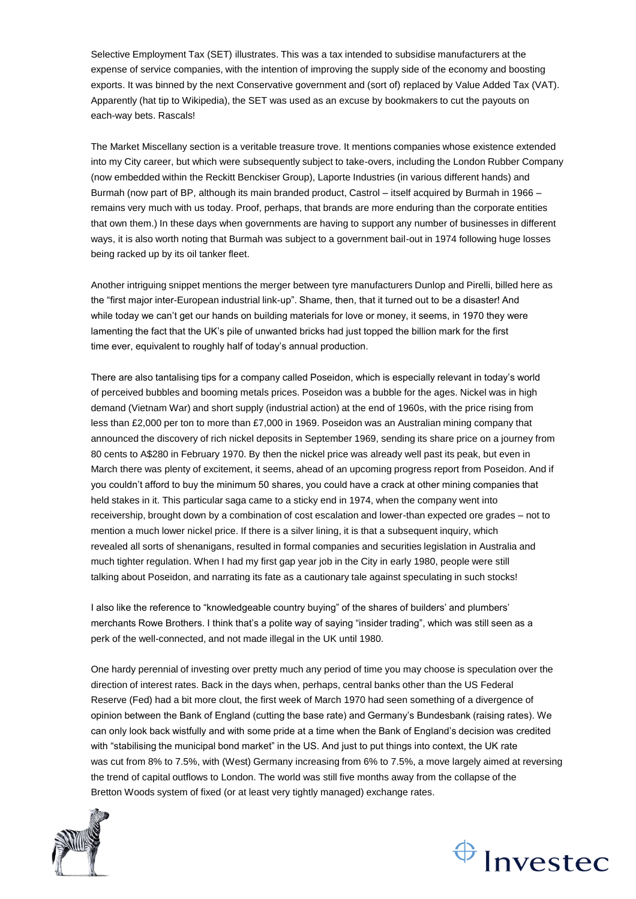Selective Employment Tax (SET) illustrates. This was a tax intended to subsidise manufacturers at the expense of service companies, with the intention of improving the supply side of the economy and boosting exports. It was binned by the next Conservative government and (sort of) replaced by Value Added Tax (VAT). Apparently (hat tip to Wikipedia), the SET was used as an excuse by bookmakers to cut the payouts on each-way bets. Rascals!

The Market Miscellany section is a veritable treasure trove. It mentions companies whose existence extended into my City career, but which were subsequently subject to take-overs, including the London Rubber Company (now embedded within the Reckitt Benckiser Group), Laporte Industries (in various different hands) and Burmah (now part of BP, although its main branded product, Castrol – itself acquired by Burmah in 1966 – remains very much with us today. Proof, perhaps, that brands are more enduring than the corporate entities that own them.) In these days when governments are having to support any number of businesses in different ways, it is also worth noting that Burmah was subject to a government bail-out in 1974 following huge losses being racked up by its oil tanker fleet.

Another intriguing snippet mentions the merger between tyre manufacturers Dunlop and Pirelli, billed here as the "first major inter-European industrial link-up". Shame, then, that it turned out to be a disaster! And while today we can't get our hands on building materials for love or money, it seems, in 1970 they were lamenting the fact that the UK's pile of unwanted bricks had just topped the billion mark for the first time ever, equivalent to roughly half of today's annual production.

There are also tantalising tips for a company called Poseidon, which is especially relevant in today's world of perceived bubbles and booming metals prices. Poseidon was a bubble for the ages. Nickel was in high demand (Vietnam War) and short supply (industrial action) at the end of 1960s, with the price rising from less than £2,000 per ton to more than £7,000 in 1969. Poseidon was an Australian mining company that announced the discovery of rich nickel deposits in September 1969, sending its share price on a journey from 80 cents to A\$280 in February 1970. By then the nickel price was already well past its peak, but even in March there was plenty of excitement, it seems, ahead of an upcoming progress report from Poseidon. And if you couldn't afford to buy the minimum 50 shares, you could have a crack at other mining companies that held stakes in it. This particular saga came to a sticky end in 1974, when the company went into receivership, brought down by a combination of cost escalation and lower-than expected ore grades – not to mention a much lower nickel price. If there is a silver lining, it is that a subsequent inquiry, which revealed all sorts of shenanigans, resulted in formal companies and securities legislation in Australia and much tighter regulation. When I had my first gap year job in the City in early 1980, people were still talking about Poseidon, and narrating its fate as a cautionary tale against speculating in such stocks!

I also like the reference to "knowledgeable country buying" of the shares of builders' and plumbers' merchants Rowe Brothers. I think that's a polite way of saying "insider trading", which was still seen as a perk of the well-connected, and not made illegal in the UK until 1980.

One hardy perennial of investing over pretty much any period of time you may choose is speculation over the direction of interest rates. Back in the days when, perhaps, central banks other than the US Federal Reserve (Fed) had a bit more clout, the first week of March 1970 had seen something of a divergence of opinion between the Bank of England (cutting the base rate) and Germany's Bundesbank (raising rates). We can only look back wistfully and with some pride at a time when the Bank of England's decision was credited with "stabilising the municipal bond market" in the US. And just to put things into context, the UK rate was cut from 8% to 7.5%, with (West) Germany increasing from 6% to 7.5%, a move largely aimed at reversing the trend of capital outflows to London. The world was still five months away from the collapse of the Bretton Woods system of fixed (or at least very tightly managed) exchange rates.



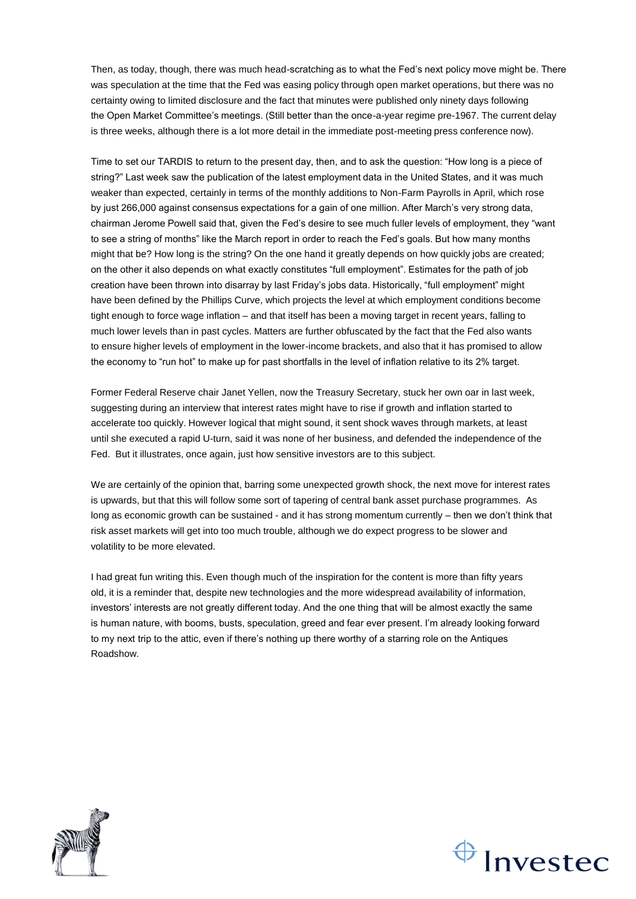Then, as today, though, there was much head-scratching as to what the Fed's next policy move might be. There was speculation at the time that the Fed was easing policy through open market operations, but there was no certainty owing to limited disclosure and the fact that minutes were published only ninety days following the Open Market Committee's meetings. (Still better than the once-a-year regime pre-1967. The current delay is three weeks, although there is a lot more detail in the immediate post-meeting press conference now).

Time to set our TARDIS to return to the present day, then, and to ask the question: "How long is a piece of string?" Last week saw the publication of the latest employment data in the United States, and it was much weaker than expected, certainly in terms of the monthly additions to Non-Farm Payrolls in April, which rose by just 266,000 against consensus expectations for a gain of one million. After March's very strong data, chairman Jerome Powell said that, given the Fed's desire to see much fuller levels of employment, they "want to see a string of months" like the March report in order to reach the Fed's goals. But how many months might that be? How long is the string? On the one hand it greatly depends on how quickly jobs are created; on the other it also depends on what exactly constitutes "full employment". Estimates for the path of job creation have been thrown into disarray by last Friday's jobs data. Historically, "full employment" might have been defined by the Phillips Curve, which projects the level at which employment conditions become tight enough to force wage inflation – and that itself has been a moving target in recent years, falling to much lower levels than in past cycles. Matters are further obfuscated by the fact that the Fed also wants to ensure higher levels of employment in the lower-income brackets, and also that it has promised to allow the economy to "run hot" to make up for past shortfalls in the level of inflation relative to its 2% target.

Former Federal Reserve chair Janet Yellen, now the Treasury Secretary, stuck her own oar in last week, suggesting during an interview that interest rates might have to rise if growth and inflation started to accelerate too quickly. However logical that might sound, it sent shock waves through markets, at least until she executed a rapid U-turn, said it was none of her business, and defended the independence of the Fed. But it illustrates, once again, just how sensitive investors are to this subject.

We are certainly of the opinion that, barring some unexpected growth shock, the next move for interest rates is upwards, but that this will follow some sort of tapering of central bank asset purchase programmes. As long as economic growth can be sustained - and it has strong momentum currently – then we don't think that risk asset markets will get into too much trouble, although we do expect progress to be slower and volatility to be more elevated.

I had great fun writing this. Even though much of the inspiration for the content is more than fifty years old, it is a reminder that, despite new technologies and the more widespread availability of information, investors' interests are not greatly different today. And the one thing that will be almost exactly the same is human nature, with booms, busts, speculation, greed and fear ever present. I'm already looking forward to my next trip to the attic, even if there's nothing up there worthy of a starring role on the Antiques Roadshow.